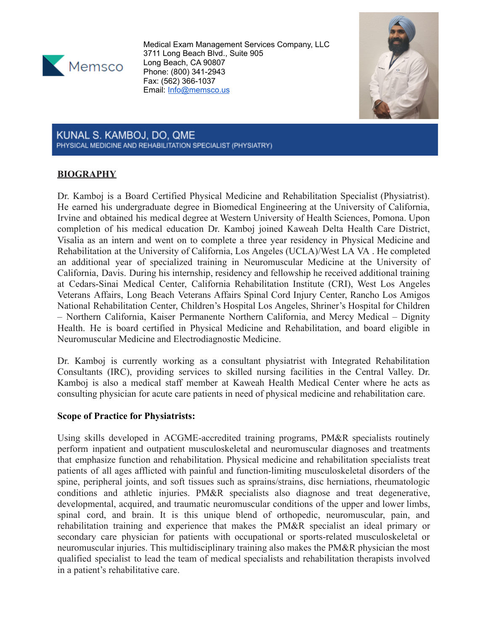

Medical Exam Management Services Company, LLC 3711 Long Beach Blvd., Suite 905 Long Beach, CA 90807 Phone: (800) 341-2943 Fax: (562) 366-1037 Email: [Info@memsco.us](mailto:Info@memsco.us)



KUNAL S. KAMBOJ, DO, QME PHYSICAL MEDICINE AND REHABILITATION SPECIALIST (PHYSIATRY)

# **BIOGRAPHY**

Dr. Kamboj is a Board Certified Physical Medicine and Rehabilitation Specialist (Physiatrist). He earned his undergraduate degree in Biomedical Engineering at the University of California, Irvine and obtained his medical degree at Western University of Health Sciences, Pomona. Upon completion of his medical education Dr. Kamboj joined Kaweah Delta Health Care District, Visalia as an intern and went on to complete a three year residency in Physical Medicine and Rehabilitation at the University of California, Los Angeles (UCLA)/West LA VA . He completed an additional year of specialized training in Neuromuscular Medicine at the University of California, Davis. During his internship, residency and fellowship he received additional training at Cedars-Sinai Medical Center, California Rehabilitation Institute (CRI), West Los Angeles Veterans Affairs, Long Beach Veterans Affairs Spinal Cord Injury Center, Rancho Los Amigos National Rehabilitation Center, Children's Hospital Los Angeles, Shriner's Hospital for Children – Northern California, Kaiser Permanente Northern California, and Mercy Medical – Dignity Health. He is board certified in Physical Medicine and Rehabilitation, and board eligible in Neuromuscular Medicine and Electrodiagnostic Medicine.

Dr. Kamboj is currently working as a consultant physiatrist with Integrated Rehabilitation Consultants (IRC), providing services to skilled nursing facilities in the Central Valley. Dr. Kamboj is also a medical staff member at Kaweah Health Medical Center where he acts as consulting physician for acute care patients in need of physical medicine and rehabilitation care.

#### **Scope of Practice for Physiatrists:**

Using skills developed in ACGME-accredited training programs, PM&R specialists routinely perform inpatient and outpatient musculoskeletal and neuromuscular diagnoses and treatments that emphasize function and rehabilitation. Physical medicine and rehabilitation specialists treat patients of all ages afflicted with painful and function-limiting musculoskeletal disorders of the spine, peripheral joints, and soft tissues such as sprains/strains, disc herniations, rheumatologic conditions and athletic injuries. PM&R specialists also diagnose and treat degenerative, developmental, acquired, and traumatic neuromuscular conditions of the upper and lower limbs, spinal cord, and brain. It is this unique blend of orthopedic, neuromuscular, pain, and rehabilitation training and experience that makes the PM&R specialist an ideal primary or secondary care physician for patients with occupational or sports-related musculoskeletal or neuromuscular injuries. This multidisciplinary training also makes the PM&R physician the most qualified specialist to lead the team of medical specialists and rehabilitation therapists involved in a patient's rehabilitative care.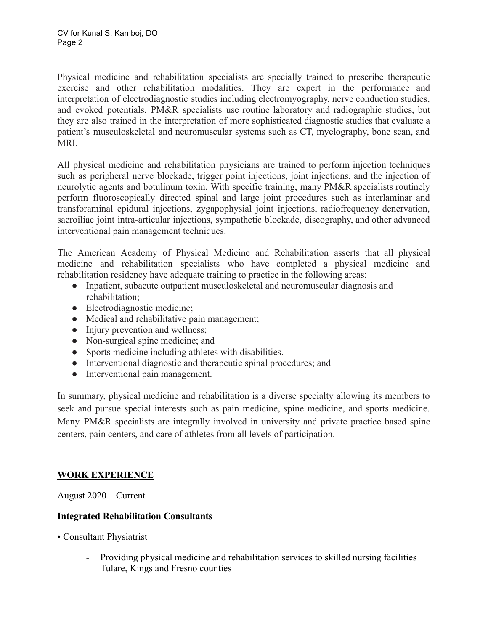Physical medicine and rehabilitation specialists are specially trained to prescribe therapeutic exercise and other rehabilitation modalities. They are expert in the performance and interpretation of electrodiagnostic studies including electromyography, nerve conduction studies, and evoked potentials. PM&R specialists use routine laboratory and radiographic studies, but they are also trained in the interpretation of more sophisticated diagnostic studies that evaluate a patient's musculoskeletal and neuromuscular systems such as CT, myelography, bone scan, and MRI.

All physical medicine and rehabilitation physicians are trained to perform injection techniques such as peripheral nerve blockade, trigger point injections, joint injections, and the injection of neurolytic agents and botulinum toxin. With specific training, many PM&R specialists routinely perform fluoroscopically directed spinal and large joint procedures such as interlaminar and transforaminal epidural injections, zygapophysial joint injections, radiofrequency denervation, sacroiliac joint intra-articular injections, sympathetic blockade, discography, and other advanced interventional pain management techniques.

The American Academy of Physical Medicine and Rehabilitation asserts that all physical medicine and rehabilitation specialists who have completed a physical medicine and rehabilitation residency have adequate training to practice in the following areas:

- Inpatient, subacute outpatient musculoskeletal and neuromuscular diagnosis and rehabilitation;
- Electrodiagnostic medicine;
- Medical and rehabilitative pain management;
- Injury prevention and wellness;
- Non-surgical spine medicine; and
- Sports medicine including athletes with disabilities.
- Interventional diagnostic and therapeutic spinal procedures; and
- Interventional pain management.

In summary, physical medicine and rehabilitation is a diverse specialty allowing its members to seek and pursue special interests such as pain medicine, spine medicine, and sports medicine. Many PM&R specialists are integrally involved in university and private practice based spine centers, pain centers, and care of athletes from all levels of participation.

# **WORK EXPERIENCE**

August 2020 – Current

# **Integrated Rehabilitation Consultants**

- Consultant Physiatrist
	- Providing physical medicine and rehabilitation services to skilled nursing facilities Tulare, Kings and Fresno counties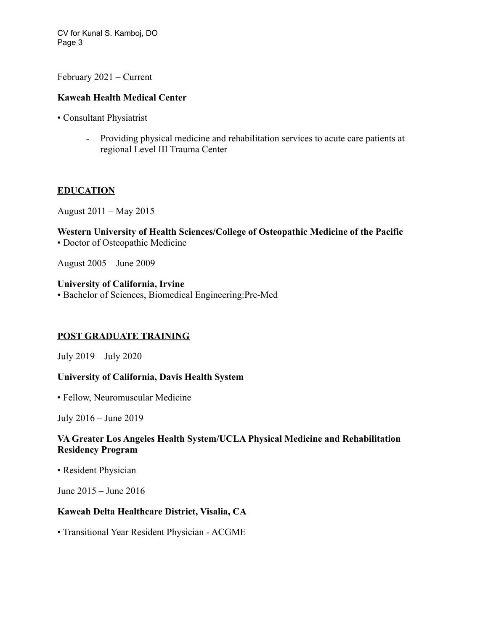CV for Kunal S. Kamboj, DO Page 3

February 2021 – Current

### **Kaweah Health Medical Center**

• Consultant Physiatrist

- Providing physical medicine and rehabilitation services to acute care patients at regional Level III Trauma Center

### **EDUCATION**

August 2011 – May 2015

**Western University of Health Sciences/College of Osteopathic Medicine of the Pacific** • Doctor of Osteopathic Medicine

August 2005 – June 2009

**University of California, Irvine** • Bachelor of Sciences, Biomedical Engineering:Pre-Med

# **POST GRADUATE TRAINING**

July 2019 – July 2020

#### **University of California, Davis Health System**

• Fellow, Neuromuscular Medicine

July 2016 – June 2019

### **VA Greater Los Angeles Health System/UCLA Physical Medicine and Rehabilitation Residency Program**

• Resident Physician

June 2015 – June 2016

#### **Kaweah Delta Healthcare District, Visalia, CA**

• Transitional Year Resident Physician - ACGME